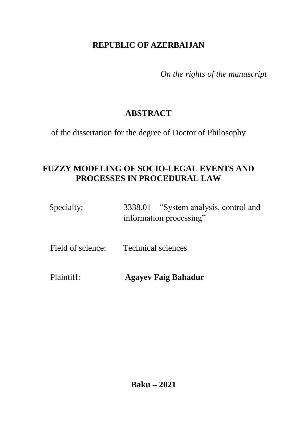## **REPUBLIC OF AZERBAIJAN**

*On the rights of the manuscript*

# **ABSTRACT**

of the dissertation for the degree of Doctor of Philosophy

# **FUZZY MODELING OF SOCIO-LEGAL EVENTS AND PROCESSES IN PROCEDURAL LAW**

| Specialty:        | $3338.01 -$ "System analysis, control and<br>information processing" |
|-------------------|----------------------------------------------------------------------|
| Field of science: | <b>Technical sciences</b>                                            |
| Plaintiff:        | <b>Agayev Faig Bahadur</b>                                           |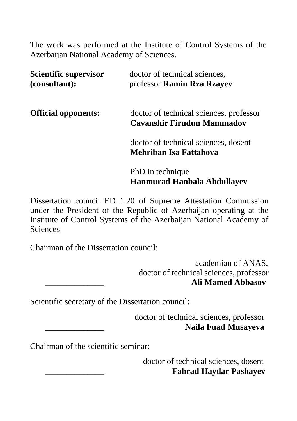The work was performed at the Institute of Control Systems of the Azerbaijan National Academy of Sciences.

| <b>Scientific supervisor</b><br>(consultant): | doctor of technical sciences,<br>professor Ramin Rza Rzayev           |
|-----------------------------------------------|-----------------------------------------------------------------------|
| <b>Official opponents:</b>                    | doctor of technical sciences, professor<br>Cavanshir Firudun Mammadov |
|                                               | doctor of technical sciences, dosent<br>Mehriban Isa Fattahova        |
|                                               | PhD in technique<br><b>Hanmurad Hanbala Abdullayev</b>                |

Dissertation council ED 1.20 of Supreme Attestation Commission under the President of the Republic of Azerbaijan operating at the Institute of Control Systems of the Azerbaijan National Academy of **Sciences** 

Chairman of the Dissertation council:

 academian of ANAS, doctor of technical sciences, professor \_\_\_\_\_\_\_\_\_\_\_\_\_\_ **Ali Mamed Abbasov**

Scientific secretary of the Dissertation council:

 doctor of technical sciences, professor \_\_\_\_\_\_\_\_\_\_\_\_\_\_ **[Naila Fuad](https://isi.az/en/content/88/) Musayeva**

Chairman of the scientific seminar:

 doctor of technical sciences, dosent \_\_\_\_\_\_\_\_\_\_\_\_\_\_ **[Fahrad Haydar](https://isi.az/en/content/169/) Pashayev**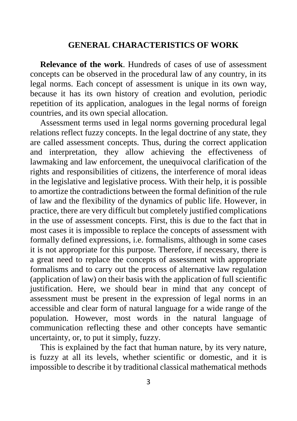#### **GENERAL CHARACTERISTICS OF WORK**

**Relevance of the work**. Hundreds of cases of use of assessment concepts can be observed in the procedural law of any country, in its legal norms. Each concept of assessment is unique in its own way, because it has its own history of creation and evolution, periodic repetition of its application, analogues in the legal norms of foreign countries, and its own special allocation.

Assessment terms used in legal norms governing procedural legal relations reflect fuzzy concepts. In the legal doctrine of any state, they are called assessment concepts. Thus, during the correct application and interpretation, they allow achieving the effectiveness of lawmaking and law enforcement, the unequivocal clarification of the rights and responsibilities of citizens, the interference of moral ideas in the legislative and legislative process. With their help, it is possible to amortize the contradictions between the formal definition of the rule of law and the flexibility of the dynamics of public life. However, in practice, there are very difficult but completely justified complications in the use of assessment concepts. First, this is due to the fact that in most cases it is impossible to replace the concepts of assessment with formally defined expressions, i.e. formalisms, although in some cases it is not appropriate for this purpose. Therefore, if necessary, there is a great need to replace the concepts of assessment with appropriate formalisms and to carry out the process of alternative law regulation (application of law) on their basis with the application of full scientific justification. Here, we should bear in mind that any concept of assessment must be present in the expression of legal norms in an accessible and clear form of natural language for a wide range of the population. However, most words in the natural language of communication reflecting these and other concepts have semantic uncertainty, or, to put it simply, fuzzy.

This is explained by the fact that human nature, by its very nature, is fuzzy at all its levels, whether scientific or domestic, and it is impossible to describe it by traditional classical mathematical methods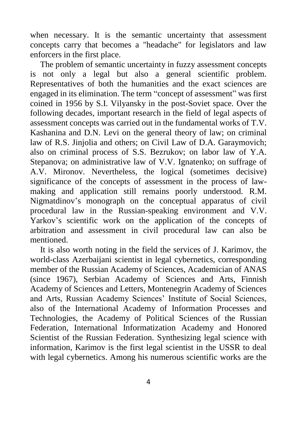when necessary. It is the semantic uncertainty that assessment concepts carry that becomes a "headache" for legislators and law enforcers in the first place.

The problem of semantic uncertainty in fuzzy assessment concepts is not only a legal but also a general scientific problem. Representatives of both the humanities and the exact sciences are engaged in its elimination. The term "concept of assessment" was first coined in 1956 by S.I. Vilyansky in the post-Soviet space. Over the following decades, important research in the field of legal aspects of assessment concepts was carried out in the fundamental works of T.V. Kashanina and D.N. Levi on the general theory of law; on criminal law of R.S. Jinjolia and others; on Civil Law of D.A. Garaymovich; also on criminal process of S.S. Bezrukov; on labor law of Y.A. Stepanova; on administrative law of V.V. Ignatenko; on suffrage of A.V. Mironov. Nevertheless, the logical (sometimes decisive) significance of the concepts of assessment in the process of lawmaking and application still remains poorly understood. R.M. Nigmatdinov's monograph on the conceptual apparatus of civil procedural law in the Russian-speaking environment and V.V. Yarkov's scientific work on the application of the concepts of arbitration and assessment in civil procedural law can also be mentioned.

It is also worth noting in the field the services of J. Karimov, the world-class Azerbaijani scientist in legal cybernetics, corresponding member of the Russian Academy of Sciences, Academician of ANAS (since 1967), Serbian Academy of Sciences and Arts, Finnish Academy of Sciences and Letters, Montenegrin Academy of Sciences and Arts, Russian Academy Sciences' Institute of Social Sciences, also of the International Academy of Information Processes and Technologies, the Academy of Political Sciences of the Russian Federation, International Informatization Academy and Honored Scientist of the Russian Federation. Synthesizing legal science with information, Karimov is the first legal scientist in the USSR to deal with legal cybernetics. Among his numerous scientific works are the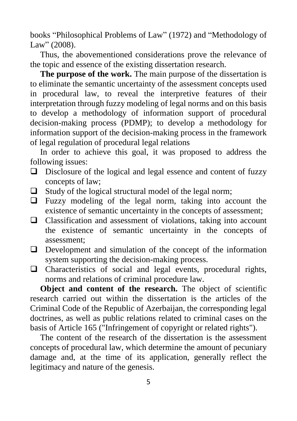books "Philosophical Problems of Law" (1972) and "Methodology of Law" (2008).

Thus, the abovementioned considerations prove the relevance of the topic and essence of the existing dissertation research.

**The purpose of the work.** The main purpose of the dissertation is to eliminate the semantic uncertainty of the assessment concepts used in procedural law, to reveal the interpretive features of their interpretation through fuzzy modeling of legal norms and on this basis to develop a methodology of information support of procedural decision-making process (PDMP); to develop a methodology for information support of the decision-making process in the framework of legal regulation of procedural legal relations

In order to achieve this goal, it was proposed to address the following issues:

- $\Box$  Disclosure of the logical and legal essence and content of fuzzy concepts of law;
- $\Box$  Study of the logical structural model of the legal norm;
- $\Box$  Fuzzy modeling of the legal norm, taking into account the existence of semantic uncertainty in the concepts of assessment;
- Classification and assessment of violations, taking into account the existence of semantic uncertainty in the concepts of assessment;
- $\Box$  Development and simulation of the concept of the information system supporting the decision-making process.
- $\Box$  Characteristics of social and legal events, procedural rights, norms and relations of criminal procedure law.

**Object and content of the research.** The object of scientific research carried out within the dissertation is the articles of the Criminal Code of the Republic of Azerbaijan, the corresponding legal doctrines, as well as public relations related to criminal cases on the basis of Article 165 ("Infringement of copyright or related rights").

The content of the research of the dissertation is the assessment concepts of procedural law, which determine the amount of pecuniary damage and, at the time of its application, generally reflect the legitimacy and nature of the genesis.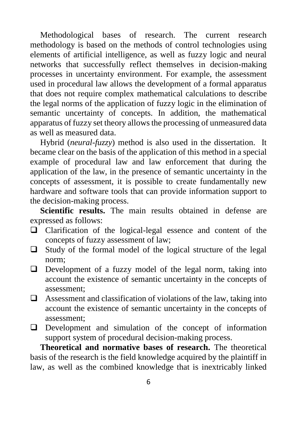Methodological bases of research. The current research methodology is based on the methods of control technologies using elements of artificial intelligence, as well as fuzzy logic and neural networks that successfully reflect themselves in decision-making processes in uncertainty environment. For example, the assessment used in procedural law allows the development of a formal apparatus that does not require complex mathematical calculations to describe the legal norms of the application of fuzzy logic in the elimination of semantic uncertainty of concepts. In addition, the mathematical apparatus of fuzzy set theory allows the processing of unmeasured data as well as measured data.

Hybrid (*neural-fuzzy*) method is also used in the dissertation. It became clear on the basis of the application of this method in a special example of procedural law and law enforcement that during the application of the law, in the presence of semantic uncertainty in the concepts of assessment, it is possible to create fundamentally new hardware and software tools that can provide information support to the decision-making process.

**Scientific results.** The main results obtained in defense are expressed as follows:

- Clarification of the logical-legal essence and content of the concepts of fuzzy assessment of law;
- $\Box$  Study of the formal model of the logical structure of the legal norm;
- $\Box$  Development of a fuzzy model of the legal norm, taking into account the existence of semantic uncertainty in the concepts of assessment;
- $\Box$  Assessment and classification of violations of the law, taking into account the existence of semantic uncertainty in the concepts of assessment;
- $\Box$  Development and simulation of the concept of information support system of procedural decision-making process.

**Theoretical and normative bases of research.** The theoretical basis of the research is the field knowledge acquired by the plaintiff in law, as well as the combined knowledge that is inextricably linked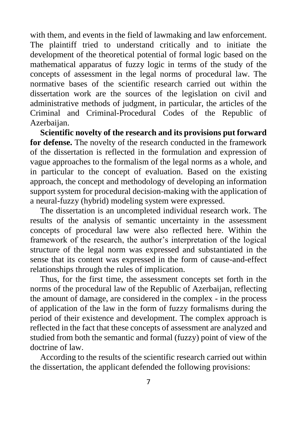with them, and events in the field of lawmaking and law enforcement. The plaintiff tried to understand critically and to initiate the development of the theoretical potential of formal logic based on the mathematical apparatus of fuzzy logic in terms of the study of the concepts of assessment in the legal norms of procedural law. The normative bases of the scientific research carried out within the dissertation work are the sources of the legislation on civil and administrative methods of judgment, in particular, the articles of the Criminal and Criminal-Procedural Codes of the Republic of Azerbaijan.

**Scientific novelty of the research and its provisions put forward for defense.** The novelty of the research conducted in the framework of the dissertation is reflected in the formulation and expression of vague approaches to the formalism of the legal norms as a whole, and in particular to the concept of evaluation. Based on the existing approach, the concept and methodology of developing an information support system for procedural decision-making with the application of a neural-fuzzy (hybrid) modeling system were expressed.

The dissertation is an uncompleted individual research work. The results of the analysis of semantic uncertainty in the assessment concepts of procedural law were also reflected here. Within the framework of the research, the author's interpretation of the logical structure of the legal norm was expressed and substantiated in the sense that its content was expressed in the form of cause-and-effect relationships through the rules of implication.

Thus, for the first time, the assessment concepts set forth in the norms of the procedural law of the Republic of Azerbaijan, reflecting the amount of damage, are considered in the complex - in the process of application of the law in the form of fuzzy formalisms during the period of their existence and development. The complex approach is reflected in the fact that these concepts of assessment are analyzed and studied from both the semantic and formal (fuzzy) point of view of the doctrine of law.

According to the results of the scientific research carried out within the dissertation, the applicant defended the following provisions: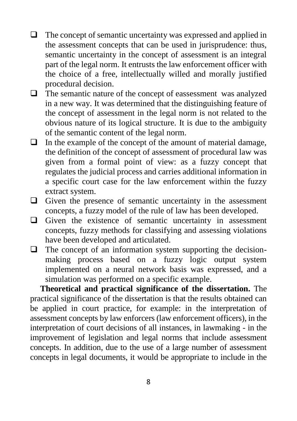- $\Box$  The concept of semantic uncertainty was expressed and applied in the assessment concepts that can be used in jurisprudence: thus, semantic uncertainty in the concept of assessment is an integral part of the legal norm. It entrusts the law enforcement officer with the choice of a free, intellectually willed and morally justified procedural decision.
- $\Box$  The semantic nature of the concept of eassessment was analyzed in a new way. It was determined that the distinguishing feature of the concept of assessment in the legal norm is not related to the obvious nature of its logical structure. It is due to the ambiguity of the semantic content of the legal norm.
- $\Box$  In the example of the concept of the amount of material damage, the definition of the concept of assessment of procedural law was given from a formal point of view: as a fuzzy concept that regulates the judicial process and carries additional information in a specific court case for the law enforcement within the fuzzy extract system.
- $\Box$  Given the presence of semantic uncertainty in the assessment concepts, a fuzzy model of the rule of law has been developed.
- $\Box$  Given the existence of semantic uncertainty in assessment concepts, fuzzy methods for classifying and assessing violations have been developed and articulated.
- $\Box$  The concept of an information system supporting the decisionmaking process based on a fuzzy logic output system implemented on a neural network basis was expressed, and a simulation was performed on a specific example.

**Theoretical and practical significance of the dissertation.** The practical significance of the dissertation is that the results obtained can be applied in court practice, for example: in the interpretation of assessment concepts by law enforcers (law enforcement officers), in the interpretation of court decisions of all instances, in lawmaking - in the improvement of legislation and legal norms that include assessment concepts. In addition, due to the use of a large number of assessment concepts in legal documents, it would be appropriate to include in the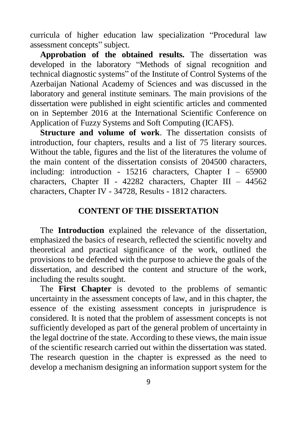curricula of higher education law specialization "Procedural law assessment concepts" subject.

**Approbation of the obtained results.** The dissertation was developed in the laboratory "Methods of signal recognition and technical diagnostic systems" of the Institute of Control Systems of the Azerbaijan National Academy of Sciences and was discussed in the laboratory and general institute seminars. The main provisions of the dissertation were published in eight scientific articles and commented on in September 2016 at the International Scientific Conference on Application of Fuzzy Systems and Soft Computing (ICAFS).

**Structure and volume of work**. The dissertation consists of introduction, four chapters, results and a list of 75 literary sources. Without the table, figures and the list of the literatures the volume of the main content of the dissertation consists of 204500 characters, including: introduction - 15216 characters, Chapter I – 65900 characters, Chapter II - 42282 characters, Chapter III – 44562 characters, Chapter IV - 34728, Results - 1812 characters.

## **CONTENT OF THE DISSERTATION**

The **Introduction** explained the relevance of the dissertation, emphasized the basics of research, reflected the scientific novelty and theoretical and practical significance of the work, outlined the provisions to be defended with the purpose to achieve the goals of the dissertation, and described the content and structure of the work, including the results sought.

The **First Chapter** is devoted to the problems of semantic uncertainty in the assessment concepts of law, and in this chapter, the essence of the existing assessment concepts in jurisprudence is considered. It is noted that the problem of assessment concepts is not sufficiently developed as part of the general problem of uncertainty in the legal doctrine of the state. According to these views, the main issue of the scientific research carried out within the dissertation was stated. The research question in the chapter is expressed as the need to develop a mechanism designing an information support system for the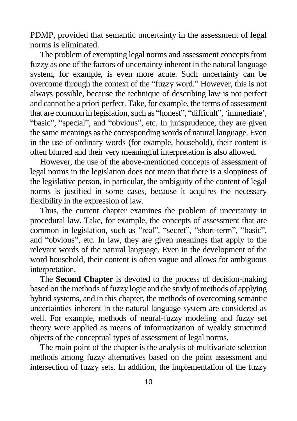PDMP, provided that semantic uncertainty in the assessment of legal norms is eliminated.

The problem of exempting legal norms and assessment concepts from fuzzy as one of the factors of uncertainty inherent in the natural language system, for example, is even more acute. Such uncertainty can be overcome through the context of the "fuzzy word." However, this is not always possible, because the technique of describing law is not perfect and cannot be a priori perfect. Take, for example, the terms of assessment that are common in legislation, such as "honest", "difficult", 'immediate', "basic", "special", and "obvious", etc. In jurisprudence, they are given the same meanings as the corresponding words of natural language. Even in the use of ordinary words (for example, household), their content is often blurred and their very meaningful interpretation is also allowed.

However, the use of the above-mentioned concepts of assessment of legal norms in the legislation does not mean that there is a sloppiness of the legislative person, in particular, the ambiguity of the content of legal norms is justified in some cases, because it acquires the necessary flexibility in the expression of law.

Thus, the current chapter examines the problem of uncertainty in procedural law. Take, for example, the concepts of assessment that are common in legislation, such as "real", "secret", "short-term", "basic", and "obvious", etc. In law, they are given meanings that apply to the relevant words of the natural language. Even in the development of the word household, their content is often vague and allows for ambiguous interpretation.

The **Second Chapter** is devoted to the process of decision-making based on the methods of fuzzy logic and the study of methods of applying hybrid systems, and in this chapter, the methods of overcoming semantic uncertainties inherent in the natural language system are considered as well. For example, methods of neural-fuzzy modeling and fuzzy set theory were applied as means of informatization of weakly structured objects of the conceptual types of assessment of legal norms.

The main point of the chapter is the analysis of multivariate selection methods among fuzzy alternatives based on the point assessment and intersection of fuzzy sets. In addition, the implementation of the fuzzy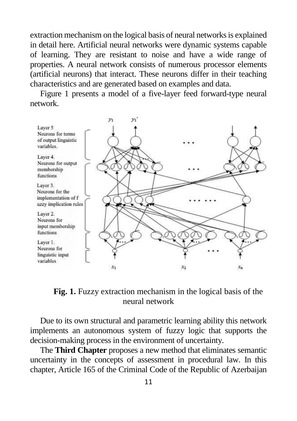extraction mechanism on the logical basis of neural networks is explained in detail here. Artificial neural networks were dynamic systems capable of learning. They are resistant to noise and have a wide range of properties. A neural network consists of numerous processor elements (artificial neurons) that interact. These neurons differ in their teaching characteristics and are generated based on examples and data.

Figure 1 presents a model of a five-layer feed forward-type neural network.



**Fig. 1.** Fuzzy extraction mechanism in the logical basis of the neural network

Due to its own structural and parametric learning ability this network implements an autonomous system of fuzzy logic that supports the decision-making process in the environment of uncertainty.

The **Third Chapter** proposes a new method that eliminates semantic uncertainty in the concepts of assessment in procedural law. In this chapter, Article 165 of the Criminal Code of the Republic of Azerbaijan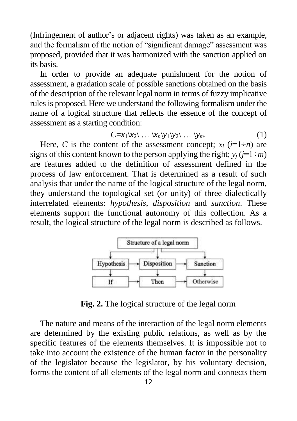(Infringement of author's or adjacent rights) was taken as an example, and the formalism of the notion of "significant damage" assessment was proposed, provided that it was harmonized with the sanction applied on its basis.

In order to provide an adequate punishment for the notion of assessment, a gradation scale of possible sanctions obtained on the basis of the description of the relevant legal norm in terms of fuzzy implicative rules is proposed. Here we understand the following formalism under the name of a logical structure that reflects the essence of the concept of assessment as a starting condition:

$$
C=x_1\setminus x_2\setminus\ldots\setminus x_n\setminus y_1\setminus y_2\setminus\ldots\setminus y_m. \tag{1}
$$

Here, *C* is the content of the assessment concept;  $x_i$  ( $i=1+n$ ) are signs of this content known to the person applying the right;  $y_i$  ( $j=1\div m$ ) are features added to the definition of assessment defined in the process of law enforcement. That is determined as a result of such analysis that under the name of the logical structure of the legal norm, they understand the topological set (or unity) of three dialectically interrelated elements: *hypothesis*, *disposition* and *sanction*. These elements support the functional autonomy of this collection. As a result, the logical structure of the legal norm is described as follows.



**Fig. 2.** The logical structure of the legal norm

The nature and means of the interaction of the legal norm elements are determined by the existing public relations, as well as by the specific features of the elements themselves. It is impossible not to take into account the existence of the human factor in the personality of the legislator because the legislator, by his voluntary decision, forms the content of all elements of the legal norm and connects them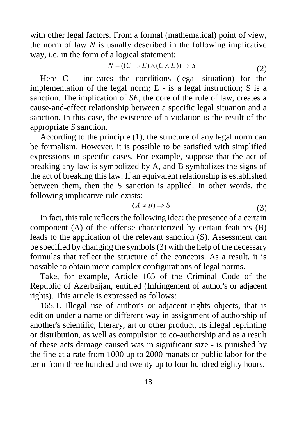with other legal factors. From a formal (mathematical) point of view, the norm of law *N* is usually described in the following implicative way, i.e. in the form of a logical statement:

$$
N = ((C \Rightarrow E) \land (C \land \overline{E})) \Rightarrow S \tag{2}
$$

Here C - indicates the conditions (legal situation) for the implementation of the legal norm;  $E -$  is a legal instruction;  $S$  is a sanction. The implication of *SE*, the core of the rule of law, creates a cause-and-effect relationship between a specific legal situation and a sanction. In this case, the existence of a violation is the result of the appropriate *S* sanction.

According to the principle (1), the structure of any legal norm can be formalism. However, it is possible to be satisfied with simplified expressions in specific cases. For example, suppose that the act of breaking any law is symbolized by A, and B symbolizes the signs of the act of breaking this law. If an equivalent relationship is established between them, then the S sanction is applied. In other words, the following implicative rule exists:

$$
(A \approx B) \Rightarrow S \tag{3}
$$

In fact, this rule reflects the following idea: the presence of a certain component (A) of the offense characterized by certain features (B) leads to the application of the relevant sanction (S). Assessment can be specified by changing the symbols (3) with the help of the necessary formulas that reflect the structure of the concepts. As a result, it is possible to obtain more complex configurations of legal norms.

Take, for example, Article 165 of the Criminal Code of the Republic of Azerbaijan, entitled (Infringement of author's or adjacent rights). This article is expressed as follows:

165.1. Illegal use of author's or adjacent rights objects, that is edition under a name or different way in assignment of authorship of another's scientific, literary, art or other product, its illegal reprinting or distribution, as well as compulsion to co-authorship and as a result of these acts damage caused was in significant size - is punished by the fine at a rate from 1000 up to 2000 manats or public labor for the term from three hundred and twenty up to four hundred eighty hours.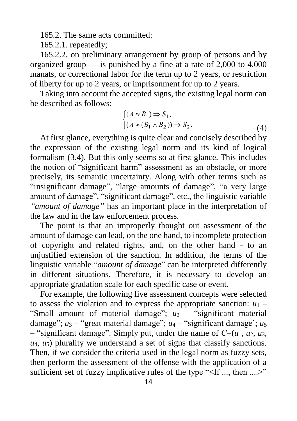165.2. The same acts committed:

165.2.1. repeatedly;

165.2.2. on preliminary arrangement by group of persons and by organized group — is punished by a fine at a rate of  $2,000$  to  $4,000$ manats, or correctional labor for the term up to 2 years, or restriction of liberty for up to 2 years, or imprisonment for up to 2 years.

Taking into account the accepted signs, the existing legal norm can be described as follows:

$$
\begin{cases}\n(A \approx B_1) \Rightarrow S_1, \\
(A \approx (B_1 \wedge B_2)) \Rightarrow S_2.\n\end{cases}
$$
\n(4)

At first glance, everything is quite clear and concisely described by the expression of the existing legal norm and its kind of logical formalism (3.4). But this only seems so at first glance. This includes the notion of "significant harm" assessment as an obstacle, or more precisely, its semantic uncertainty. Along with other terms such as "insignificant damage", "large amounts of damage", "a very large amount of damage", "significant damage", etc., the linguistic variable *"amount of damage"* has an important place in the interpretation of the law and in the law enforcement process.

The point is that an improperly thought out assessment of the amount of damage can lead, on the one hand, to incomplete protection of copyright and related rights, and, on the other hand - to an unjustified extension of the sanction. In addition, the terms of the linguistic variable "*amount of damage*" can be interpreted differently in different situations. Therefore, it is necessary to develop an appropriate gradation scale for each specific case or event.

For example, the following five assessment concepts were selected to assess the violation and to express the appropriate sanction:  $u_1$  – "Small amount of material damage";  $u_2$  – "significant material" damage"; *u*<sup>3</sup> – "great material damage"; *u*<sup>4</sup> – "significant damage'; *u*<sup>5</sup> – "significant damage". Simply put, under the name of *С*=(*u*1, *u*2, *u*3, *u*4, *u*5) plurality we understand a set of signs that classify sanctions. Then, if we consider the criteria used in the legal norm as fuzzy sets, then perform the assessment of the offense with the application of a sufficient set of fuzzy implicative rules of the type "<If ..., then ....>"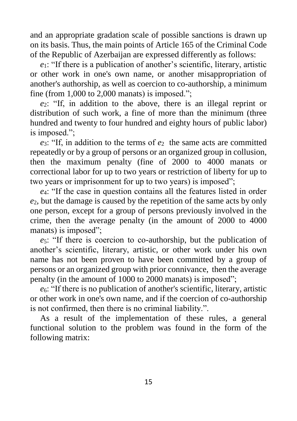and an appropriate gradation scale of possible sanctions is drawn up on its basis. Thus, the main points of Article 165 of the Criminal Code of the Republic of Azerbaijan are expressed differently as follows:

*e*1: "If there is a publication of another's scientific, literary, artistic or other work in one's own name, or another misappropriation of another's authorship, as well as coercion to co-authorship, a minimum fine (from  $1,000$  to  $2,000$  manats) is imposed.";

*e*2: "If, in addition to the above, there is an illegal reprint or distribution of such work, a fine of more than the minimum (three hundred and twenty to four hundred and eighty hours of public labor) is imposed.";

*e*3: "If, in addition to the terms of *e*2 the same acts are committed repeatedly or by a group of persons or an organized group in collusion, then the maximum penalty (fine of 2000 to 4000 manats or correctional labor for up to two years or restriction of liberty for up to two years or imprisonment for up to two years) is imposed";

*e*4: "If the case in question contains all the features listed in order *e*2, but the damage is caused by the repetition of the same acts by only one person, except for a group of persons previously involved in the crime, then the average penalty (in the amount of 2000 to 4000 manats) is imposed":

*e*5: "If there is coercion to co-authorship, but the publication of another's scientific, literary, artistic, or other work under his own name has not been proven to have been committed by a group of persons or an organized group with prior connivance, then the average penalty (in the amount of 1000 to 2000 manats) is imposed";

*e*6: "If there is no publication of another's scientific, literary, artistic or other work in one's own name, and if the coercion of co-authorship is not confirmed, then there is no criminal liability.".

As a result of the implementation of these rules, a general functional solution to the problem was found in the form of the following matrix: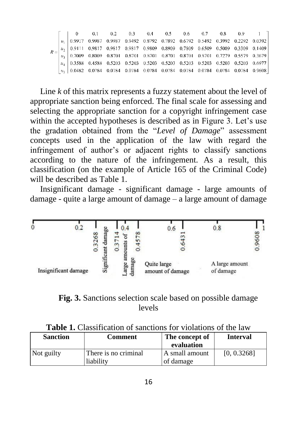|  | 0 0.1 0.2 0.3 0.4 0.5 0.6 0.7 0.8 0.9                                                                                                                                  |  |  |  |  |  |
|--|------------------------------------------------------------------------------------------------------------------------------------------------------------------------|--|--|--|--|--|
|  | $\begin{array}{ c ccccccccccccccc } \hline u_i & 0.9917 & 0.9987 & 0.9987 & 0.9492 & 0.8792 & 0.7892 & 0.6792 & 0.5492 & 0.3992 & 0.2292 & 0.0392 \end{array}$         |  |  |  |  |  |
|  |                                                                                                                                                                        |  |  |  |  |  |
|  | $\begin{bmatrix} 1 & 0.7009 & 0.8009 & 0.8701 & 0.8701 & 0.8701 & 0.8701 & 0.8701 & 0.8701 & 0.7279 & 0.5579 & 0.3679 \end{bmatrix}$                                   |  |  |  |  |  |
|  | $\begin{array}{ c ccccccccccccccc }\hline u_4 & 0.3588 & 0.4588 & 0.5203 & 0.5203 & 0.5203 & 0.5203 & 0.5203 & 0.5203 & 0.5203 & 0.5203 & 0.6977 \\\hline \end{array}$ |  |  |  |  |  |
|  | $\begin{bmatrix} u_5 & 0.0482 & 0.0784 & 0.0784 & 0.0784 & 0.0784 & 0.0784 & 0.0784 & 0.0784 & 0.0784 & 0.0784 & 0.0784 \end{bmatrix}$                                 |  |  |  |  |  |

Line *k* of this matrix represents a fuzzy statement about the level of appropriate sanction being enforced. The final scale for assessing and selecting the appropriate sanction for a copyright infringement case within the accepted hypotheses is described as in Figure 3. Let's use the gradation obtained from the "*Level of Damage*" assessment concepts used in the application of the law with regard the infringement of author's or adjacent rights to classify sanctions according to the nature of the infringement. As a result, this classification (on the example of Article 165 of the Criminal Code) will be described as Table 1.

Insignificant damage - significant damage - large amounts of damage - quite a large amount of damage – a large amount of damage



**Fig. 3.** Sanctions selection scale based on possible damage levels

| Tunic Ti Chassilication of sanchons for troudfully of the hun |                      |                |                 |  |
|---------------------------------------------------------------|----------------------|----------------|-----------------|--|
| <b>Sanction</b>                                               | Comment              | The concept of | <b>Interval</b> |  |
|                                                               |                      | evaluation     |                 |  |
| Not guilty                                                    | There is no criminal | A small amount | [0, 0.3268]     |  |
|                                                               | liability            | of damage      |                 |  |

**Table 1.** Classification of sanctions for violations of the law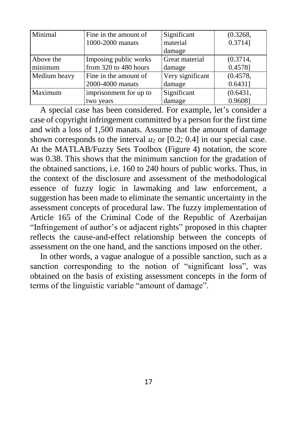| Minimal      | Fine in the amount of  | Significant      | (0.3268, |
|--------------|------------------------|------------------|----------|
|              | 1000-2000 manats       | material         | 0.3714]  |
|              |                        | damage           |          |
| Above the    | Imposing public works  | Great material   | (0.3714, |
| minimum      | from 320 to 480 hours  | damage           | 0.4578]  |
| Medium heavy | Fine in the amount of  | Very significant | (0.4578, |
|              | 2000-4000 manats       | damage           | 0.6431]  |
| Maximum      | imprisonment for up to | Significant      | (0.6431, |
|              | two years              | damage           | 0.9608]  |

A special case has been considered. For example, let's consider a case of copyright infringement committed by a person for the first time and with a loss of 1,500 manats. Assume that the amount of damage shown corresponds to the interval  $u_2$  or [0.2; 0.4] in our special case. At the MATLAB/Fuzzy Sets Toolbox (Figure 4) notation, the score was 0.38. This shows that the minimum sanction for the gradation of the obtained sanctions, i.e. 160 to 240 hours of public works. Thus, in the context of the disclosure and assessment of the methodological essence of fuzzy logic in lawmaking and law enforcement, a suggestion has been made to eliminate the semantic uncertainty in the assessment concepts of procedural law. The fuzzy implementation of Article 165 of the Criminal Code of the Republic of Azerbaijan "Infringement of author's or adjacent rights" proposed in this chapter reflects the cause-and-effect relationship between the concepts of assessment on the one hand, and the sanctions imposed on the other.

In other words, a vague analogue of a possible sanction, such as a sanction corresponding to the notion of "significant loss", was obtained on the basis of existing assessment concepts in the form of terms of the linguistic variable "amount of damage".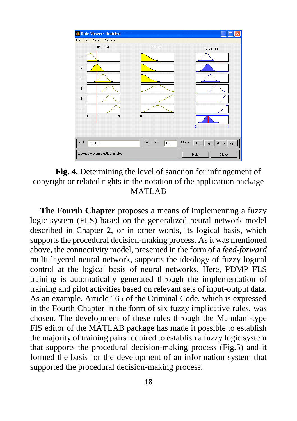



**The Fourth Chapter** proposes a means of implementing a fuzzy logic system (FLS) based on the generalized neural network model described in Chapter 2, or in other words, its logical basis, which supports the procedural decision-making process. As it was mentioned above, the connectivity model, presented in the form of a *feed-forward*  multi-layered neural network, supports the ideology of fuzzy logical control at the logical basis of neural networks. Here, PDMP FLS training is automatically generated through the implementation of training and pilot activities based on relevant sets of input-output data. As an example, Article 165 of the Criminal Code, which is expressed in the Fourth Chapter in the form of six fuzzy implicative rules, was chosen. The development of these rules through the Mamdani-type FIS editor of the MATLAB package has made it possible to establish the majority of training pairs required to establish a fuzzy logic system that supports the procedural decision-making process (Fig.5) and it formed the basis for the development of an information system that supported the procedural decision-making process.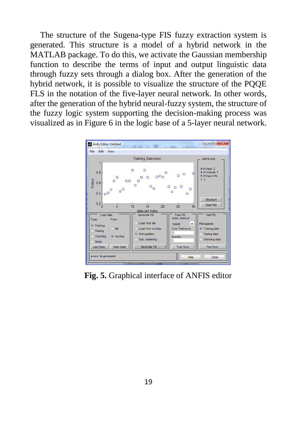The structure of the Sugena-type FIS fuzzy extraction system is generated. This structure is a model of a hybrid network in the MATLAB package. To do this, we activate the Gaussian membership function to describe the terms of input and output linguistic data through fuzzy sets through a dialog box. After the generation of the hybrid network, it is possible to visualize the structure of the PQQE FLS in the notation of the five-layer neural network. In other words, after the generation of the hybrid neural-fuzzy system, the structure of the fuzzy logic system supporting the decision-making process was visualized as in Figure 6 in the logic base of a 5-layer neural network.



**Fig. 5.** Graphical interface of ANFIS editor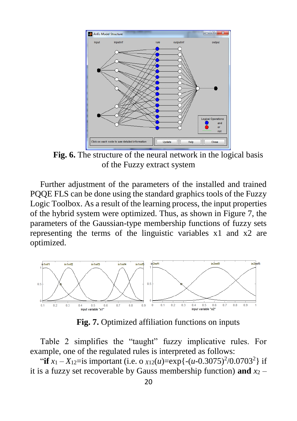

**Fig. 6.** The structure of the neural network in the logical basis of the Fuzzy extract system

Further adjustment of the parameters of the installed and trained PQQE FLS can be done using the standard graphics tools of the Fuzzy Logic Toolbox. As a result of the learning process, the input properties of the hybrid system were optimized. Thus, as shown in Figure 7, the parameters of the Gaussian-type membership functions of fuzzy sets representing the terms of the linguistic variables x1 and x2 are optimized.



**Fig. 7.** Optimized affiliation functions on inputs

Table 2 simplifies the "taught" fuzzy implicative rules. For example, one of the regulated rules is interpreted as follows:

"if  $x_1 - X_{12} =$  is important (i.e. o  $x_{12}(u) = \exp\{- (u - 0.3075)^2 / 0.0703^2 \}$  if it is a fuzzy set recoverable by Gauss membership function) and  $x_2$  –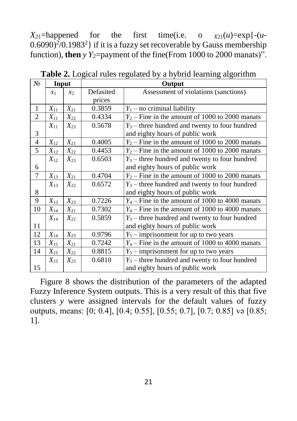$X_{21}$ =happened for the first time(i.e. o  $X_{21}(u)$ =exp{-(*u*- $(0.6090)^2/0.1983^2$  if it is a fuzzy set recoverable by Gauss membership function), **then**  $y$   $Y_2$ =payment of the fine(From 1000 to 2000 manats)".

| $N_2$          | Input           |               |           | Output                                            |
|----------------|-----------------|---------------|-----------|---------------------------------------------------|
|                | $\mathcal{X}_1$ | $\mathcal{X}$ | Defasited | Assessment of violations (sanctions)              |
|                |                 |               | prices    |                                                   |
| $\mathbf{1}$   | $X_{11}$        | $X_{21}$      | 0.3859    | $Y_1$ – no criminal liability                     |
| $\overline{c}$ | $X_{11}$        | $X_{22}$      | 0.4334    | $Y_2$ – Fine in the amount of 1000 to 2000 manats |
|                | $X_{11}$        | $X_{23}$      | 0.5678    | $Y_3$ – three hundred and twenty to four hundred  |
| 3              |                 |               |           | and eighty hours of public work                   |
| 4              | $X_{12}$        | $X_{21}$      | 0.4005    | $Y_2$ – Fine in the amount of 1000 to 2000 manats |
| 5              | $X_{12}$        | $X_{22}$      | 0.4453    | $Y_2$ – Fine in the amount of 1000 to 2000 manats |
|                | $X_{12}$        | $X_{23}$      | 0.6503    | $Y_3$ – three hundred and twenty to four hundred  |
| 6              |                 |               |           | and eighty hours of public work                   |
| 7              | $X_{13}$        | $X_{21}$      | 0.4704    | $Y_2$ – Fine in the amount of 1000 to 2000 manats |
|                | $X_{13}$        | $X_{22}$      | 0.6572    | $Y_3$ – three hundred and twenty to four hundred  |
| 8              |                 |               |           | and eighty hours of public work                   |
| 9              | $X_{13}$        | $X_{23}$      | 0.7226    | $Y_4$ – Fine in the amount of 1000 to 4000 manats |
| 10             | $X_{14}$        | $X_{21}$      | 0.7302    | $Y_4$ – Fine in the amount of 1000 to 4000 manats |
|                | $X_{14}$        | $X_{22}$      | 0.5859    | $Y_3$ – three hundred and twenty to four hundred  |
| 11             |                 |               |           | and eighty hours of public work                   |
| 12             | $X_{14}$        | $X_{23}$      | 0.9796    | $Y_5$ – imprisonment for up to two years          |
| 13             | $X_{15}$        | $X_{21}$      | 0.7242    | $Y_4$ – Fine in the amount of 1000 to 4000 manats |
| 14             | $X_{15}$        | $X_{22}$      | 0.8815    | $Y_5$ – imprisonment for up to two years          |
|                | $X_{15}$        | $X_{23}$      | 0.6810    | $Y_3$ – three hundred and twenty to four hundred  |
| 15             |                 |               |           | and eighty hours of public work                   |

**Table 2.** Logical rules regulated by a hybrid learning algorithm

Figure 8 shows the distribution of the parameters of the adapted Fuzzy Inference System outputs. This is a very result of this that five clusters *y* were assigned intervals for the default values of fuzzy outputs, means: [0; 0.4], [0.4; 0.55], [0.55; 0.7], [0.7; 0.85] və [0.85; 1].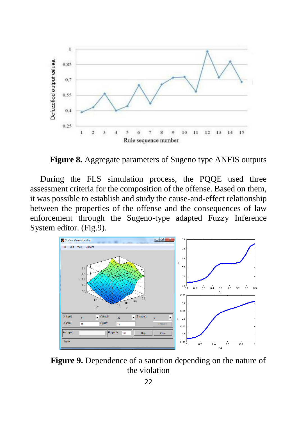

**Figure 8.** Aggregate parameters of Sugeno type ANFIS outputs

During the FLS simulation process, the PQQE used three assessment criteria for the composition of the offense. Based on them, it was possible to establish and study the cause-and-effect relationship between the properties of the offense and the consequences of law enforcement through the Sugeno-type adapted Fuzzy Inference System editor. (Fig.9).



**Figure 9.** Dependence of a sanction depending on the nature of the violation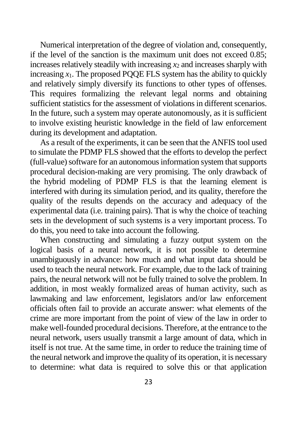Numerical interpretation of the degree of violation and, consequently, if the level of the sanction is the maximum unit does not exceed 0.85; increases relatively steadily with increasing *x*<sup>2</sup> and increases sharply with increasing  $x_1$ . The proposed PQQE FLS system has the ability to quickly and relatively simply diversify its functions to other types of offenses. This requires formalizing the relevant legal norms and obtaining sufficient statistics for the assessment of violations in different scenarios. In the future, such a system may operate autonomously, as it is sufficient to involve existing heuristic knowledge in the field of law enforcement during its development and adaptation.

As a result of the experiments, it can be seen that the ANFIS tool used to simulate the PDMP FLS showed that the efforts to develop the perfect (full-value) software for an autonomous information system that supports procedural decision-making are very promising. The only drawback of the hybrid modeling of PDMP FLS is that the learning element is interfered with during its simulation period, and its quality, therefore the quality of the results depends on the accuracy and adequacy of the experimental data (i.e. training pairs). That is why the choice of teaching sets in the development of such systems is a very important process. To do this, you need to take into account the following.

When constructing and simulating a fuzzy output system on the logical basis of a neural network, it is not possible to determine unambiguously in advance: how much and what input data should be used to teach the neural network. For example, due to the lack of training pairs, the neural network will not be fully trained to solve the problem. In addition, in most weakly formalized areas of human activity, such as lawmaking and law enforcement, legislators and/or law enforcement officials often fail to provide an accurate answer: what elements of the crime are more important from the point of view of the law in order to make well-founded procedural decisions. Therefore, at the entrance to the neural network, users usually transmit a large amount of data, which in itself is not true. At the same time, in order to reduce the training time of the neural network and improve the quality of its operation, it is necessary to determine: what data is required to solve this or that application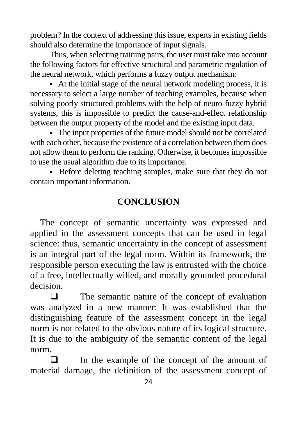problem? In the context of addressing this issue, experts in existing fields should also determine the importance of input signals.

Thus, when selecting training pairs, the user must take into account the following factors for effective structural and parametric regulation of the neural network, which performs a fuzzy output mechanism:

⦁ At the initial stage of the neural network modeling process, it is necessary to select a large number of teaching examples, because when solving poorly structured problems with the help of neuro-fuzzy hybrid systems, this is impossible to predict the cause-and-effect relationship between the output property of the model and the existing input data.

⦁ The input properties of the future model should not be correlated with each other, because the existence of a correlation between them does not allow them to perform the ranking. Otherwise, it becomes impossible to use the usual algorithm due to its importance.

⦁ Before deleting teaching samples, make sure that they do not contain important information.

# **CONCLUSION**

The concept of semantic uncertainty was expressed and applied in the assessment concepts that can be used in legal science: thus, semantic uncertainty in the concept of assessment is an integral part of the legal norm. Within its framework, the responsible person executing the law is entrusted with the choice of a free, intellectually willed, and morally grounded procedural decision.

 $\Box$  The semantic nature of the concept of evaluation was analyzed in a new manner: It was established that the distinguishing feature of the assessment concept in the legal norm is not related to the obvious nature of its logical structure. It is due to the ambiguity of the semantic content of the legal norm.

 In the example of the concept of the amount of material damage, the definition of the assessment concept of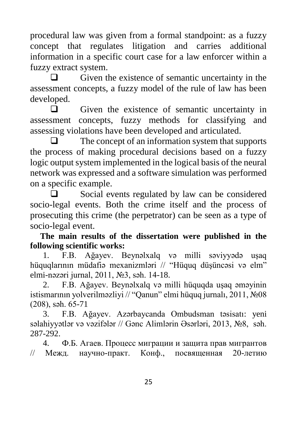procedural law was given from a formal standpoint: as a fuzzy concept that regulates litigation and carries additional information in a specific court case for a law enforcer within a fuzzy extract system.

 $\Box$  Given the existence of semantic uncertainty in the assessment concepts, a fuzzy model of the rule of law has been developed.

 $\Box$  Given the existence of semantic uncertainty in assessment concepts, fuzzy methods for classifying and assessing violations have been developed and articulated.

 $\Box$  The concept of an information system that supports the process of making procedural decisions based on a fuzzy logic output system implemented in the logical basis of the neural network was expressed and a software simulation was performed on a specific example.

 $\Box$  Social events regulated by law can be considered socio-legal events. Both the crime itself and the process of prosecuting this crime (the perpetrator) can be seen as a type of socio-legal event.

**The main results of the dissertation were published in the following scientific works:**

1. F.B. Ağayev. Beynəlxalq və milli səviyyədə uşaq hüquqlarının müdafiə mexanizmləri // "Hüquq düşüncəsi və elm" elmi-nəzəri jurnal, 2011, №3, səh. 14-18.

2. F.B. Ağayev. Beynəlxalq və milli hüquqda uşaq əməyinin istismarının yolverilməzliyi // "Qanun" elmi hüquq jurnalı, 2011, №08 (208), səh. 65-71

3. F.B. Ağayev. Azərbaycanda Ombudsman təsisatı: yeni səlahiyyətlər və vəzifələr // Gənc Alimlərin Əsərləri, 2013, №8, səh. 287-292.

4. Ф.Б. Агаев. Процесс миграции и защита прав мигрантов // Межд. научно-практ. Конф., посвященная 20-летию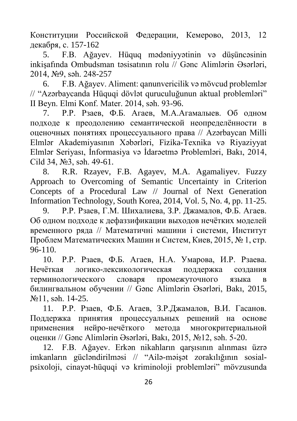Конституции Российской Федерации, Кемерово, 2013, 12 декабря, c. 157-162

5. F.B. Ağayev. Hüquq mədəniyyətinin və düşüncəsinin inkişafında Ombudsman təsisatının rolu // Gənc Alimlərin Əsərləri, 2014, №9, səh. 248-257

6. F.B. Ağayev. Aliment: qanunvericilik və mövcud problemlər // "Azərbaycanda Hüquqi dövlət quruculuğunun aktual problemləri" II Beyn. Elmi Konf. Mater. 2014, səh. 93-96.

7. Р.Р. Рзаев, Ф.Б. Агаев, М.А.Агамалыев. Об одном подходе к преодолению семантической неопределённости в оценочных понятиях процессуального права // Azərbaycan Milli Elmlər Akademiyasının Xəbərləri, Fizika-Texnika və Riyaziyyat Elmlər Seriyası, İnformasiya və İdarəetmə Problemləri, Bakı, 2014, Cild 34, №3, səh. 49-61.

8. R.R. Rzayev, F.B. Agayev, M.A. Agamaliyev. Fuzzy Approach to Overcoming of Semantic Uncertainty in Criterion Concepts of a Procedural Law // Journal of Next Generation Information Technology, South Korea, 2014, Vol. 5, No. 4, pp. 11-25.

9. Р.Р. Рзаев, Г.М. Шихалиева, З.Р. Джамалов, Ф.Б. Агаев. Об одном подходе к дефаззификации выходов нечётких моделей временного ряда // Математичні машини і системи, Институт Проблем Математических Машин и Систем, Киев, 2015, № 1, стр. 96-110.

10. Р.Р. Рзаев, Ф.Б. Агаев, Н.А. Умарова, И.Р. Рзаева. Нечёткая логико-лексикологическая поддержка создания терминологического словаря промежуточного языка в билингвальном обучении // Gənc Alimlərin Əsərləri, Bakı, 2015, №11, səh. 14-25.

11. Р.Р. Рзаев, Ф.Б. Агаев, З.Р.Джамалов, В.И. Гасанов. Поддержка принятия процессуальных решений на основе применения нейро-нечёткого метода многокритериальной оценки // Gənc Alimlərin Əsərləri, Bakı, 2015, №12, səh. 5-20.

12. F.B. Ağayev. Erkən nikahların qarşısının alınması üzrə imkanların gücləndirilməsi // "Ailə-məişət zorakılığının sosialpsixoloji, cinayət-hüquqi və kriminoloji problemləri" mövzusunda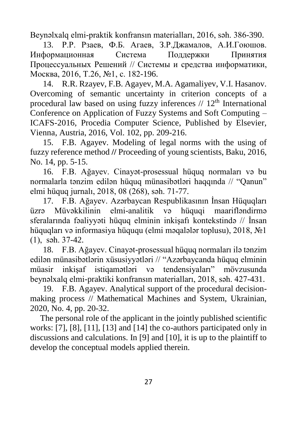Beynəlxalq elmi-praktik konfransın materialları, 2016, səh. 386-390.

13. Р.Р. Рзаев, Ф.Б. Агаев, З.Р.Джамалов, А.И.Гоюшов. Информационная Система Поддержки Принятия Процессуальных Решений // Системы и средства информатики, Москва, 2016, Т.26, №1, с. 182-196.

14. R.R. Rzayev, F.B. Agayev, M.A. Agamaliyev, V.I. Hasanov. Overcoming of semantic uncertainty in criterion concepts of a procedural law based on using fuzzy inferences  $// 12<sup>th</sup> International$ [Conference on Application of Fuzzy Systems and Soft Computing –](https://link.springer.com/book/10.1007/978-3-030-04164-9) [ICAFS-201](https://link.springer.com/book/10.1007/978-3-030-04164-9)6, Procedia Computer Science, Published by Elsevier, Vienna, Austria, 2016, Vol. 102, pp. 209-216.

15. F.B. Agayev. Modeling of legal norms with the using of fuzzy reference method **//** Proceeding of young scientists, Baku, 2016, No. 14, pp. 5-15.

16. F.B. Ağayev. Cinayət-prosessual hüquq normaları və bu normalarla tənzim edilən hüquq münasibətləri haqqında // "Qanun" elmi hüquq jurnalı, 2018, 08 (268), səh. 71-77.

17. F.B. Ağayev. Azərbaycan Respublikasının İnsan Hüquqları üzrə Müvəkkilinin elmi-analitik və hüquqi maarifləndirmə sferalarında fəaliyyəti hüquq elminin inkişafı kontekstində // İnsan hüquqları və informasiya hüququ (elmi məqalələr toplusu), 2018, №1 (1), səh. 37-42.

18. F.B. Ağayev. Cinayət-prosessual hüquq normaları ilə tənzim edilən münasibətlərin xüsusiyyətləri // "Azərbaycanda hüquq elminin müasir inkişaf istiqamətləri və tendensiyaları" mövzusunda beynəlxalq elmi-praktiki konfransın materialları, 2018, səh. 427-431.

19. F.B. Agayev. Analytical support of the procedural decisionmaking process // Mathematical Machines and System, Ukrainian, 2020, No. 4, pp. 20-32.

The personal role of the applicant in the jointly published scientific works: [7], [8], [11], [13] and [14] the co-authors participated only in discussions and calculations. In [9] and [10], it is up to the plaintiff to develop the conceptual models applied therein.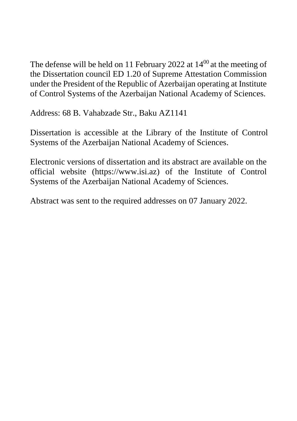The defense will be held on 11 February 2022 at  $14^{00}$  at the meeting of the Dissertation council ED 1.20 of Supreme Attestation Commission under the President of the Republic of Azerbaijan operating at Institute of Control Systems of the Azerbaijan National Academy of Sciences.

Address: 68 B. Vahabzade Str., Baku AZ1141

Dissertation is accessible at the Library of the Institute of Control Systems of the Azerbaijan National Academy of Sciences.

Electronic versions of dissertation and its abstract are available on the official website [\(https://www.isi.az\)](https://www.isi.az/) of the Institute of Control Systems of the Azerbaijan National Academy of Sciences.

Abstract was sent to the required addresses on 07 January 2022.